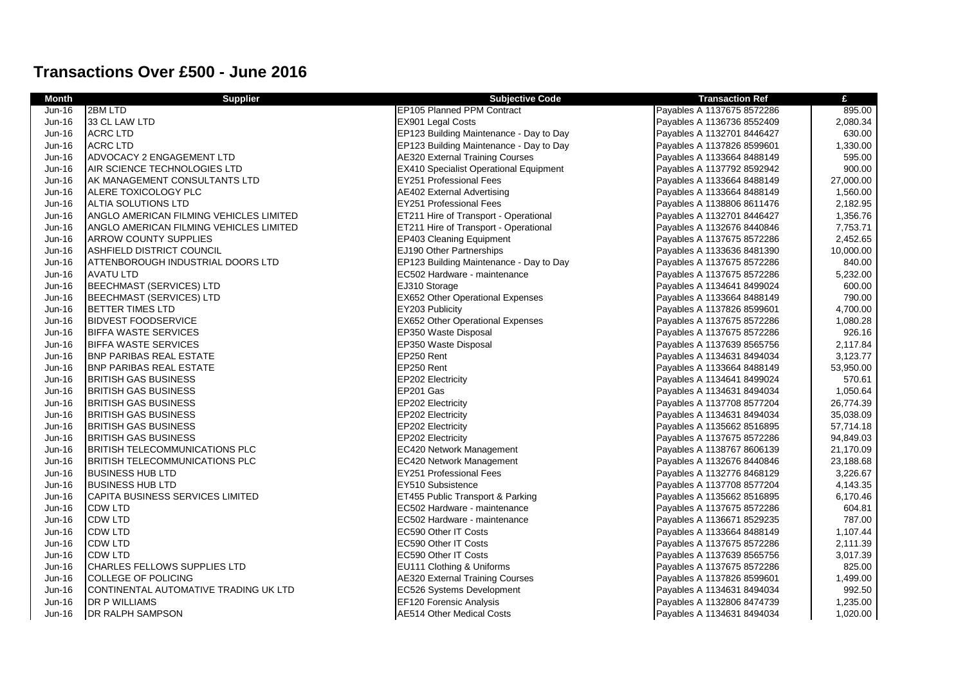## **Transactions Over £500 - June 2016**

| <b>Month</b>  | <b>Supplier</b>                         | <b>Subjective Code</b>                        | <b>Transaction Ref</b>     | £         |
|---------------|-----------------------------------------|-----------------------------------------------|----------------------------|-----------|
| Jun-16        | 2BM LTD                                 | EP105 Planned PPM Contract                    | Payables A 1137675 8572286 | 895.00    |
| Jun-16        | 33 CL LAW LTD                           | EX901 Legal Costs                             | Payables A 1136736 8552409 | 2,080.34  |
| Jun-16        | <b>ACRC LTD</b>                         | EP123 Building Maintenance - Day to Day       | Payables A 1132701 8446427 | 630.00    |
| Jun-16        | <b>ACRC LTD</b>                         | EP123 Building Maintenance - Day to Day       | Payables A 1137826 8599601 | 1,330.00  |
| Jun-16        | ADVOCACY 2 ENGAGEMENT LTD               | <b>AE320 External Training Courses</b>        | Payables A 1133664 8488149 | 595.00    |
| Jun-16        | AIR SCIENCE TECHNOLOGIES LTD            | <b>EX410 Specialist Operational Equipment</b> | Payables A 1137792 8592942 | 900.00    |
| Jun-16        | AK MANAGEMENT CONSULTANTS LTD           | <b>EY251 Professional Fees</b>                | Payables A 1133664 8488149 | 27,000.00 |
| Jun-16        | ALERE TOXICOLOGY PLC                    | <b>AE402 External Advertising</b>             | Payables A 1133664 8488149 | 1,560.00  |
| <b>Jun-16</b> | <b>ALTIA SOLUTIONS LTD</b>              | <b>EY251 Professional Fees</b>                | Payables A 1138806 8611476 | 2,182.95  |
| Jun-16        | ANGLO AMERICAN FILMING VEHICLES LIMITED | ET211 Hire of Transport - Operational         | Payables A 1132701 8446427 | 1,356.76  |
| Jun-16        | ANGLO AMERICAN FILMING VEHICLES LIMITED | ET211 Hire of Transport - Operational         | Payables A 1132676 8440846 | 7,753.71  |
| Jun-16        | <b>ARROW COUNTY SUPPLIES</b>            | EP403 Cleaning Equipment                      | Payables A 1137675 8572286 | 2,452.65  |
| <b>Jun-16</b> | ASHFIELD DISTRICT COUNCIL               | EJ190 Other Partnerships                      | Payables A 1133636 8481390 | 10,000.00 |
| Jun-16        | ATTENBOROUGH INDUSTRIAL DOORS LTD       | EP123 Building Maintenance - Day to Day       | Payables A 1137675 8572286 | 840.00    |
| Jun-16        | <b>AVATU LTD</b>                        | EC502 Hardware - maintenance                  | Payables A 1137675 8572286 | 5,232.00  |
| Jun-16        | <b>BEECHMAST (SERVICES) LTD</b>         | EJ310 Storage                                 | Payables A 1134641 8499024 | 600.00    |
| Jun-16        | <b>BEECHMAST (SERVICES) LTD</b>         | EX652 Other Operational Expenses              | Payables A 1133664 8488149 | 790.00    |
| <b>Jun-16</b> | <b>BETTER TIMES LTD</b>                 | EY203 Publicity                               | Payables A 1137826 8599601 | 4,700.00  |
| Jun-16        | <b>BIDVEST FOODSERVICE</b>              | <b>EX652 Other Operational Expenses</b>       | Payables A 1137675 8572286 | 1,080.28  |
| Jun-16        | <b>BIFFA WASTE SERVICES</b>             | EP350 Waste Disposal                          | Payables A 1137675 8572286 | 926.16    |
| Jun-16        | <b>BIFFA WASTE SERVICES</b>             | EP350 Waste Disposal                          | Payables A 1137639 8565756 | 2,117.84  |
| Jun-16        | <b>BNP PARIBAS REAL ESTATE</b>          | EP250 Rent                                    | Payables A 1134631 8494034 | 3,123.77  |
| Jun-16        | <b>BNP PARIBAS REAL ESTATE</b>          | EP250 Rent                                    | Payables A 1133664 8488149 | 53,950.00 |
| Jun-16        | <b>BRITISH GAS BUSINESS</b>             | EP202 Electricity                             | Payables A 1134641 8499024 | 570.61    |
| Jun-16        | <b>BRITISH GAS BUSINESS</b>             | EP201 Gas                                     | Payables A 1134631 8494034 | 1,050.64  |
| Jun-16        | <b>BRITISH GAS BUSINESS</b>             | EP202 Electricity                             | Payables A 1137708 8577204 | 26,774.39 |
| Jun-16        | <b>BRITISH GAS BUSINESS</b>             | EP202 Electricity                             | Payables A 1134631 8494034 | 35,038.09 |
| Jun-16        | <b>BRITISH GAS BUSINESS</b>             | <b>EP202 Electricity</b>                      | Payables A 1135662 8516895 | 57,714.18 |
| <b>Jun-16</b> | <b>BRITISH GAS BUSINESS</b>             | EP202 Electricity                             | Payables A 1137675 8572286 | 94,849.03 |
| Jun-16        | <b>BRITISH TELECOMMUNICATIONS PLC</b>   | EC420 Network Management                      | Payables A 1138767 8606139 | 21,170.09 |
| Jun-16        | <b>BRITISH TELECOMMUNICATIONS PLC</b>   | <b>EC420 Network Management</b>               | Payables A 1132676 8440846 | 23,188.68 |
| Jun-16        | BUSINESS HUB LTD                        | EY251 Professional Fees                       | Payables A 1132776 8468129 | 3,226.67  |
| Jun-16        | <b>BUSINESS HUB LTD</b>                 | EY510 Subsistence                             | Payables A 1137708 8577204 | 4,143.35  |
| Jun-16        | CAPITA BUSINESS SERVICES LIMITED        | ET455 Public Transport & Parking              | Payables A 1135662 8516895 | 6,170.46  |
| Jun-16        | <b>CDW LTD</b>                          | EC502 Hardware - maintenance                  | Payables A 1137675 8572286 | 604.81    |
| Jun-16        | <b>CDW LTD</b>                          | EC502 Hardware - maintenance                  | Payables A 1136671 8529235 | 787.00    |
| Jun-16        | <b>CDW LTD</b>                          | EC590 Other IT Costs                          | Payables A 1133664 8488149 | 1,107.44  |
| Jun-16        | <b>CDW LTD</b>                          | EC590 Other IT Costs                          | Payables A 1137675 8572286 | 2,111.39  |
| Jun-16        | <b>CDW LTD</b>                          | <b>EC590 Other IT Costs</b>                   | Payables A 1137639 8565756 | 3,017.39  |
| Jun-16        | <b>CHARLES FELLOWS SUPPLIES LTD</b>     | EU111 Clothing & Uniforms                     | Payables A 1137675 8572286 | 825.00    |
| Jun-16        | <b>COLLEGE OF POLICING</b>              | <b>AE320 External Training Courses</b>        | Payables A 1137826 8599601 | 1,499.00  |
| Jun-16        | CONTINENTAL AUTOMATIVE TRADING UK LTD   | EC526 Systems Development                     | Payables A 1134631 8494034 | 992.50    |
| Jun-16        | <b>DR P WILLIAMS</b>                    | <b>EF120 Forensic Analysis</b>                | Payables A 1132806 8474739 | 1,235.00  |
| Jun-16        | <b>DR RALPH SAMPSON</b>                 | AE514 Other Medical Costs                     | Payables A 1134631 8494034 | 1,020.00  |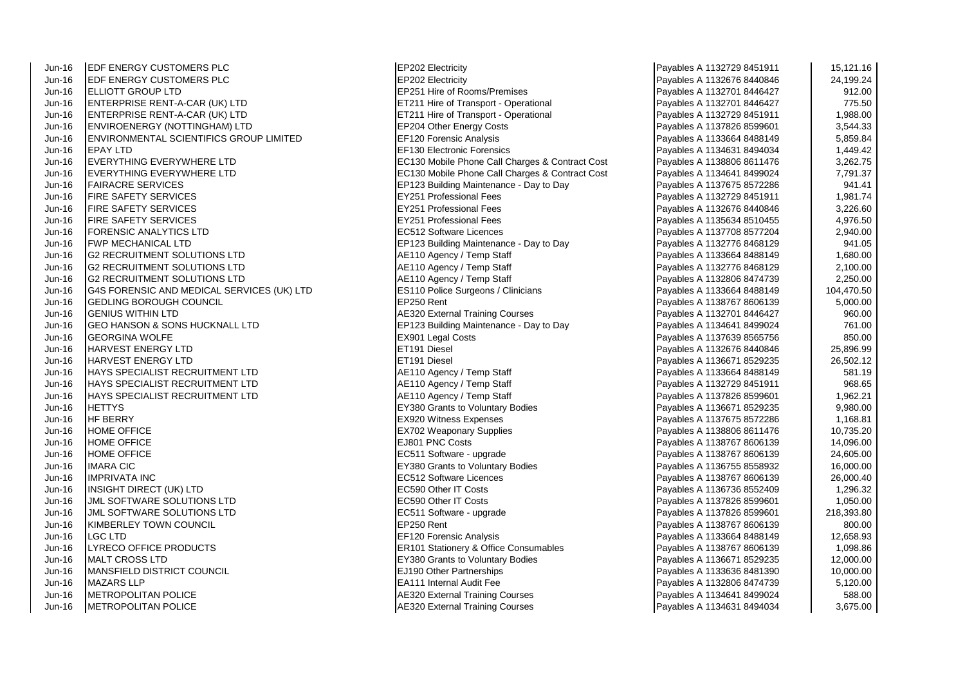Jun-16 EDF ENERGY CUSTOMERS PLC<br>
Jun-16 EDF ENERGY CUSTOMERS PLC<br>
EP202 Electricity Jun-16 EDF ENERGY CUSTOMERS PLC<br>Jun-16 ELLIOTT GROUP LTD Jun-16 ENTERPRISE RENT-A-CAR (UK) LTD EXAMPLE RENTERS RESERVE TRANSPORTED TRANSPORT - Operational Jun-16 ENTERPRISE RENT-A-CAR (UK) LTD ET211 Hire of Transport - Operational Un-16 Payables A 1132721 A 1132729 845191 1,988.0000 8451911 1,998.000 8451911 1,998.0000 8451911 1,998.0000 8451911 1,998.0000 8451911 1,998.0000 Jun-16 ENVIROENERGY (NOTTINGHAM) LTD EP204 Other Energy Costs Payables A 1137826 8599601 3,544.33 Jun-16 ENVIRONMENTAL SCIENTIFICS GROUP LIMITED **EF120** Forensic Analysis<br>Jun-16 FPAY I TD Jun-16 EPAY LTD EF130 Electronic Forensics Payables A 1134631 8494034 1,449.42 Jun-16 EVERYTHING EVERYWHERE LTD EXAMPLE READS EC130 Mobile Phone Call Charges & Contract Cost Jun-16 EVERYTHING EVERYWHERE LTD EXAMPLE READS ECLI30 Mobile Phone Call Charges & Contract Cost Jun-16 FAIRACRE SERVICES ERRES ERGENTING MAINTENANCE - Day to Day Jun-16 FIRE SAFETY SERVICES EXAMPLE THE SAFETY SERVICES A 11327 SERVICES A 11327 SERVICES A 1132729 8451 SERVICES A 1132729 8451 SERVICES A 1132729 8451 SERVICES A 1132729 8451 SERVICES A 1132729 8451 SERVICES A 1132729 84 Jun-16 FIRE SAFETY SERVICES EY251 Professional Fees Payables A 1132676 8440846 3,226.60 Jun-16 FIRE SAFETY SERVICES EXAMPLE THE SAFETY SERVICES A 113563 1510 FEES PAYABLES PROFESSIONAL FEES Jun-16 FORENSIC ANALYTICS LTD EC512 Software Licences<br>Jun-16 FWP MECHANICAL LTD EXAMPLE RELATION RELATIONS Ruilding Maintenary Jun-16 G2 RECRUITMENT SOLUTIONS LTD Annual Action Agency / Temp Staff Payables A 11346 Jun-16 G2 RECRUITMENT SOLUTIONS LTD<br>
Jun-16 G2 RECRUITMENT SOLUTIONS LTD<br>
AE110 Agency / Temp Staff Jun-16 **G**2 RECRUITMENT SOLUTIONS LTD Jun-16 G4S FORENSIC AND MEDICAL SERVICES (UK) LTD ES110 Police Surgeons / Clinicians (GEDI ING BOROUGH COUNCIL  $J$ un-16  $\overline{G}$  GEDLING BOROUGH COUNCIL Jun-16 GENIUS WITHIN LTD AES20 External Training Courses Payables A 113270 External Training Courses Jun-16 GEO HANSON & SONS HUCKNALL LTD<br>Jun-16 GEORGINA WOLFE **EXAMPLES A 1134641 84901 A 1134641 849901** Legal Costs Jun-16 GEORGINA WOLFE EX901 Legal Costs Payables A 1137639 8565756 850.00 Jun-16 HARVEST ENERGY LTD ET191 Diesel Payables A 1132676 844084 25,896.996.<br>Jun-16 HARVEST ENERGY I TD Jun-16 HARVEST ENERGY LTD ET191 Diesel Payables A 1136671 8529235 26,502.12 Jun-16 HAYS SPECIALIST RECRUITMENT LTD And Act 10 AE110 Agency / Temp Staff Jun-16 HAYS SPECIALIST RECRUITMENT LTD <br>Jun-16 HAYS SPECIALIST RECRUITMENT LTD AE110 Agency / Temp Staff Jun-16 HAYS SPECIALIST RECRUITMENT LTD<br>Jun-16 HETTYS Jun-16 HETTYS EY380 Grants to Voluntary Bodies Payables A 1136671 8529235 9,980.00 Jun-16 HF BERRY EX920 Witness Expenses Payables A 113767 85726 1,168.815 85726 1,168.81767 85725 8572 Jun-16 HOME OFFICE **EXALL A 1138806 8611476 100 EX702** Weaponary Supplies Jun-16 HOME OFFICE EJ801 PNC Costs Payables A 1138767 8606139 14,096.00 Jun-16 HOME OFFICE **External a 1138767 8606139 24,606139 24,606** Payable Payables A 1138767 8606139 24,606.00061 Jun-16 IMARA CIC **IMARA CIC** EY380 Grants to Voluntary Bodies **Payable Structure A 113675** 8556 85589 Grants to Voluntary Bodies A 113675 85589 Grants to Voluntary Bodies **Payables** 16,000.000.000.000.000.000.000.000.000.0 Jun-16 IMPRIVATA INC EC512 Software Licences Payables A 1138767 8606139 26,000.40 Jun-16 **INSIGHT DIRECT (UK) LTD** EC590 Other IT Costs Payables A 1136736 855240 1,29736 85736 85736 85736 85736 Jun-16 JJML SOFTWARE SOLUTIONS LTD EXAMPLE A 1137826 8500 Other IT Costs Jun-16 JML SOFTWARE SOLUTIONS LTD<br>Jun-16 KIMBERLEY TOWN COUNCIL CONTROL CONTROL STATES A 1137826 8590 Rent Jun-16 KIMBERLEY TOWN COUNCIL Jun-16 LGC LTD EF120 Forensic Analysis Payables Analysis Payable A 1133664 848814 12,658.93814 Jun-16 LYRECO OFFICE PRODUCTS ERGISTIC ERIC RESOLUTION STATISTIC RESOLUTION OF THE PAYABLES PAYABLES PAYABLES A 1 Jun-16 MALT CROSS LTD EXAMPLE RESOLUTION CONTROL EXAMPLE PAYABLES A 1136671 8529236 12,000.000.000.0000.000.00 Jun-16 MANSFIELD DISTRICT COUNCIL EJ190 Other Partnerships Jun-16 MAZARS LLP **EALL REGISTER** EALL REGISTER A 113 Internal Audit Fee Jun-16 METROPOLITAN POLICE AE320 External Training Courses Jun-16 METROPOLITAN POLICE AE320 External Training Courses

 $F$ P251 Hire of Rooms/Premises **JEP123 Building Maintenance - Day to Day** 

| Payables A 1132729 8451911                               | 15,121.16            |
|----------------------------------------------------------|----------------------|
| Payables A 1132676 8440846                               | 24,199.24            |
| Payables A 1132701 8446427                               | 912.00               |
| Payables A 1132701 8446427                               | 775.50               |
| Payables A 1132729 8451911                               | 1,988.00             |
| Payables A 1137826 8599601                               | 3,544.33             |
| Payables A 1133664 8488149                               | 5,859.84             |
| Payables A 1134631 8494034                               | 1,449.42             |
| Payables A 1138806 8611476                               | 3,262.75             |
| Payables A 1134641 8499024                               | 7,791.37             |
| Payables A 1137675 8572286                               | 941.41               |
| Payables A 1132729 8451911                               | 1,981.74             |
| Payables A 1132676 8440846                               | 3,226.60             |
| Payables A 1135634 8510455                               | 4,976.50             |
| Payables A 1137708 8577204                               | 2,940.00             |
| Payables A 1132776 8468129                               | 941.05               |
| Payables A 1133664 8488149                               | 1,680.00             |
| Payables A 1132776 8468129                               | 2,100.00             |
| Payables A 1132806 8474739                               | 2,250.00             |
| Payables A 1133664 8488149                               | 104,470.50           |
| Payables A 1138767 8606139                               | 5,000.00             |
| Payables A 1132701 8446427                               | 960.00               |
| Payables A 1134641 8499024                               | 761.00               |
| Payables A 1137639 8565756                               | 850.00               |
| Payables A 1132676 8440846                               | 25,896.99            |
| Payables A 1136671 8529235                               | 26,502.12            |
| Payables A 1133664 8488149<br>Payables A 1132729 8451911 | 581.19<br>968.65     |
| Payables A 1137826 8599601                               |                      |
| Payables A 1136671 8529235                               | 1,962.21<br>9,980.00 |
| Payables A 1137675 8572286                               | 1,168.81             |
| Payables A 1138806 8611476                               | 10,735.20            |
| Payables A 1138767 8606139                               | 14,096.00            |
| Payables A 1138767 8606139                               | 24,605.00            |
| Payables A 1136755 8558932                               | 16,000.00            |
| Payables A 1138767 8606139                               | 26,000.40            |
| Payables A 1136736 8552409                               | 1,296.32             |
| Payables A 1137826 8599601                               | 1,050.00             |
| Payables A 1137826 8599601                               | 218,393.80           |
| Payables A 1138767 8606139                               | 800.00               |
| Payables A 1133664 8488149                               | 12,658.93            |
| Payables A 1138767 8606139                               | 1,098.86             |
| Payables A 1136671 8529235                               | 12,000.00            |
| Payables A 1133636 8481390                               | 10,000.00            |
| Payables A 1132806 8474739                               | 5,120.00             |
| Payables A 1134641 8499024                               | 588.00               |
| Payables A 1134631 8494034                               | 3,675.00             |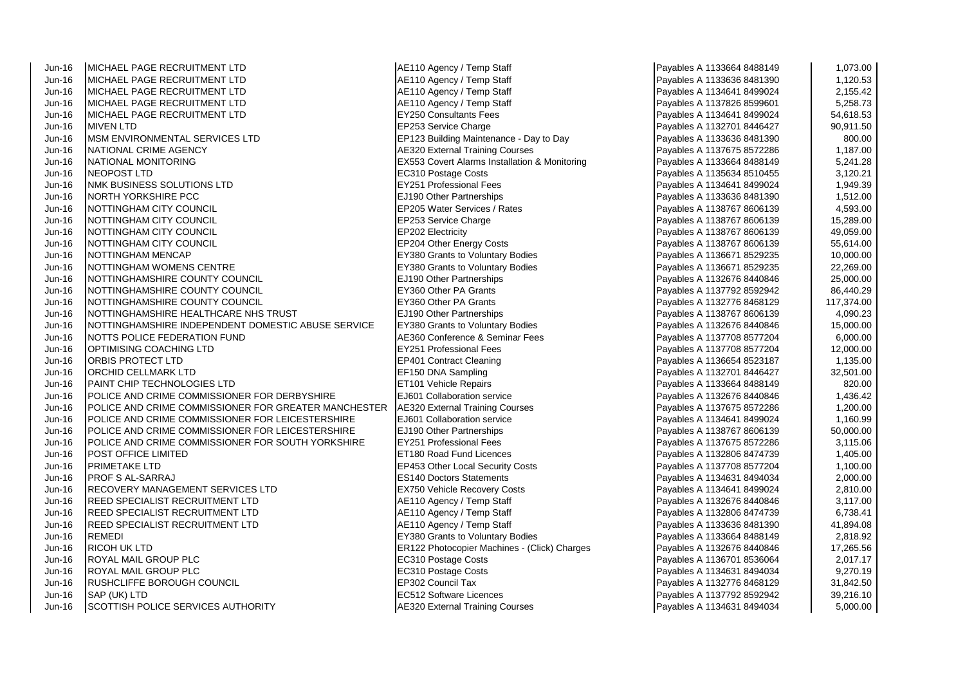| Jun-16   | IMICHAEL PAGE RECRUITMENT LTD                        | AE110 Agency / Temp Staff                                | Payables A 1133664 8488149 | 1,073.00   |
|----------|------------------------------------------------------|----------------------------------------------------------|----------------------------|------------|
| Jun-16   | IMICHAEL PAGE RECRUITMENT LTD                        | AE110 Agency / Temp Staff                                | Payables A 1133636 8481390 | 1,120.53   |
| $Jun-16$ | IMICHAEL PAGE RECRUITMENT LTD                        | AE110 Agency / Temp Staff                                | Payables A 1134641 8499024 | 2,155.42   |
| Jun-16   | MICHAEL PAGE RECRUITMENT LTD                         | AE110 Agency / Temp Staff                                | Payables A 1137826 8599601 | 5,258.73   |
| $Jun-16$ | MICHAEL PAGE RECRUITMENT LTD                         | <b>EY250 Consultants Fees</b>                            | Payables A 1134641 8499024 | 54,618.53  |
| Jun-16   | <b>MIVEN LTD</b>                                     | EP253 Service Charge                                     | Payables A 1132701 8446427 | 90,911.50  |
| $Jun-16$ | MSM ENVIRONMENTAL SERVICES LTD                       | EP123 Building Maintenance - Day to Day                  | Payables A 1133636 8481390 | 800.00     |
| Jun-16   | NATIONAL CRIME AGENCY                                | <b>AE320 External Training Courses</b>                   | Payables A 1137675 8572286 | 1,187.00   |
| Jun-16   | NATIONAL MONITORING                                  | <b>EX553 Covert Alarms Installation &amp; Monitoring</b> | Payables A 1133664 8488149 | 5,241.28   |
| $Jun-16$ | <b>NEOPOST LTD</b>                                   | EC310 Postage Costs                                      | Payables A 1135634 8510455 | 3,120.21   |
| $Jun-16$ | NMK BUSINESS SOLUTIONS LTD                           | <b>EY251 Professional Fees</b>                           | Payables A 1134641 8499024 | 1,949.39   |
| Jun-16   | NORTH YORKSHIRE PCC                                  | EJ190 Other Partnerships                                 | Payables A 1133636 8481390 | 1,512.00   |
| $Jun-16$ | NOTTINGHAM CITY COUNCIL                              | EP205 Water Services / Rates                             | Payables A 1138767 8606139 | 4,593.00   |
| Jun-16   | NOTTINGHAM CITY COUNCIL                              | EP253 Service Charge                                     | Payables A 1138767 8606139 | 15,289.00  |
| $Jun-16$ | NOTTINGHAM CITY COUNCIL                              | <b>EP202 Electricity</b>                                 | Payables A 1138767 8606139 | 49,059.00  |
| $Jun-16$ | NOTTINGHAM CITY COUNCIL                              | EP204 Other Energy Costs                                 | Payables A 1138767 8606139 | 55,614.00  |
| Jun-16   | NOTTINGHAM MENCAP                                    | <b>EY380 Grants to Voluntary Bodies</b>                  | Payables A 1136671 8529235 | 10,000.00  |
| $Jun-16$ | NOTTINGHAM WOMENS CENTRE                             | <b>EY380 Grants to Voluntary Bodies</b>                  | Payables A 1136671 8529235 | 22,269.00  |
| Jun-16   | NOTTINGHAMSHIRE COUNTY COUNCIL                       | EJ190 Other Partnerships                                 | Payables A 1132676 8440846 | 25,000.00  |
| $Jun-16$ | NOTTINGHAMSHIRE COUNTY COUNCIL                       | EY360 Other PA Grants                                    | Payables A 1137792 8592942 | 86,440.29  |
| $Jun-16$ | NOTTINGHAMSHIRE COUNTY COUNCIL                       | EY360 Other PA Grants                                    | Payables A 1132776 8468129 | 117,374.00 |
| Jun-16   | NOTTINGHAMSHIRE HEALTHCARE NHS TRUST                 | <b>EJ190 Other Partnerships</b>                          | Payables A 1138767 8606139 | 4,090.23   |
| $Jun-16$ | NOTTINGHAMSHIRE INDEPENDENT DOMESTIC ABUSE SERVICE   | <b>EY380 Grants to Voluntary Bodies</b>                  | Payables A 1132676 8440846 | 15,000.00  |
| Jun-16   | NOTTS POLICE FEDERATION FUND                         | AE360 Conference & Seminar Fees                          | Payables A 1137708 8577204 | 6,000.00   |
| Jun-16   | OPTIMISING COACHING LTD                              | <b>EY251 Professional Fees</b>                           | Payables A 1137708 8577204 | 12,000.00  |
| $Jun-16$ | ORBIS PROTECT LTD                                    | <b>EP401 Contract Cleaning</b>                           | Payables A 1136654 8523187 | 1,135.00   |
| Jun-16   | ORCHID CELLMARK LTD                                  | EF150 DNA Sampling                                       | Payables A 1132701 8446427 | 32,501.00  |
| Jun-16   | PAINT CHIP TECHNOLOGIES LTD                          | <b>ET101 Vehicle Repairs</b>                             | Payables A 1133664 8488149 | 820.00     |
| Jun-16   | POLICE AND CRIME COMMISSIONER FOR DERBYSHIRE         | EJ601 Collaboration service                              | Payables A 1132676 8440846 | 1,436.42   |
| Jun-16   | POLICE AND CRIME COMMISSIONER FOR GREATER MANCHESTER | AE320 External Training Courses                          | Payables A 1137675 8572286 | 1,200.00   |
| $Jun-16$ | POLICE AND CRIME COMMISSIONER FOR LEICESTERSHIRE     | EJ601 Collaboration service                              | Payables A 1134641 8499024 | 1,160.99   |
| Jun-16   | POLICE AND CRIME COMMISSIONER FOR LEICESTERSHIRE     | EJ190 Other Partnerships                                 | Payables A 1138767 8606139 | 50,000.00  |
| Jun-16   | POLICE AND CRIME COMMISSIONER FOR SOUTH YORKSHIRE    | <b>EY251 Professional Fees</b>                           | Payables A 1137675 8572286 | 3,115.06   |
| Jun-16   | POST OFFICE LIMITED                                  | <b>ET180 Road Fund Licences</b>                          | Payables A 1132806 8474739 | 1,405.00   |
| Jun-16   | PRIMETAKE LTD                                        | EP453 Other Local Security Costs                         | Payables A 1137708 8577204 | 1,100.00   |
| Jun-16   | <b>IPROF S AL-SARRAJ</b>                             | <b>ES140 Doctors Statements</b>                          | Payables A 1134631 8494034 | 2,000.00   |
| Jun-16   | RECOVERY MANAGEMENT SERVICES LTD                     | <b>EX750 Vehicle Recovery Costs</b>                      | Payables A 1134641 8499024 | 2,810.00   |
| Jun-16   | REED SPECIALIST RECRUITMENT LTD                      | AE110 Agency / Temp Staff                                | Payables A 1132676 8440846 | 3,117.00   |
| Jun-16   | REED SPECIALIST RECRUITMENT LTD                      | AE110 Agency / Temp Staff                                | Payables A 1132806 8474739 | 6,738.41   |
| Jun-16   | REED SPECIALIST RECRUITMENT LTD                      | AE110 Agency / Temp Staff                                | Payables A 1133636 8481390 | 41,894.08  |
| Jun-16   | <b>REMEDI</b>                                        | EY380 Grants to Voluntary Bodies                         | Payables A 1133664 8488149 | 2,818.92   |
| Jun-16   | <b>RICOH UK LTD</b>                                  | ER122 Photocopier Machines - (Click) Charges             | Payables A 1132676 8440846 | 17,265.56  |
| Jun-16   | <b>ROYAL MAIL GROUP PLC</b>                          | EC310 Postage Costs                                      | Payables A 1136701 8536064 | 2,017.17   |
| $Jun-16$ | <b>ROYAL MAIL GROUP PLC</b>                          | EC310 Postage Costs                                      | Payables A 1134631 8494034 | 9,270.19   |
| Jun-16   | RUSHCLIFFE BOROUGH COUNCIL                           | EP302 Council Tax                                        | Payables A 1132776 8468129 | 31,842.50  |
| Jun-16   | SAP (UK) LTD                                         | <b>EC512 Software Licences</b>                           | Payables A 1137792 8592942 | 39,216.10  |
| Jun-16   | SCOTTISH POLICE SERVICES AUTHORITY                   | <b>AE320 External Training Courses</b>                   | Payables A 1134631 8494034 | 5,000.00   |

| Payables A 1133664 8488149                               | 1,073.00              |
|----------------------------------------------------------|-----------------------|
| Payables A 1133636 8481390                               | 1,120.53              |
| Payables A 1134641 8499024                               | 2,155.42              |
| Payables A 1137826 8599601                               | 5,258.73              |
| Payables A 1134641 8499024                               | 54,618.53             |
| Payables A 1132701 8446427                               | 90,911.50             |
| Payables A 1133636 8481390                               | 800.00                |
| Payables A 1137675 8572286                               | 1,187.00              |
| Payables A 1133664 8488149                               | 5,241.28              |
| Payables A 1135634 8510455                               | 3,120.21              |
| Payables A 1134641 8499024                               | 1,949.39              |
| Payables A 1133636 8481390                               | 1,512.00              |
| Payables A 1138767 8606139                               | 4,593.00              |
| Payables A 1138767 8606139                               | 15,289.00             |
| Payables A 1138767 8606139                               | 49,059.00             |
| Payables A 1138767 8606139                               | 55,614.00             |
| Payables A 1136671 8529235                               | 10,000.00             |
| Payables A 1136671 8529235                               | 22,269.00             |
| Payables A 1132676 8440846                               | 25,000.00             |
| Payables A 1137792 8592942                               | 86,440.29             |
| Payables A 1132776 8468129                               | 117,374.00            |
| Payables A 1138767 8606139                               | 4,090.23              |
| Payables A 1132676 8440846                               | 15,000.00             |
| Payables A 1137708 8577204                               | 6,000.00              |
| Payables A 1137708 8577204                               | 12,000.00             |
| Payables A 1136654 8523187                               | 1,135.00              |
| Payables A 1132701 8446427                               | 32,501.00             |
| Payables A 1133664 8488149                               | 820.00                |
| Payables A 1132676 8440846                               | 1,436.42              |
| Payables A 1137675 8572286                               | 1,200.00              |
| Payables A 1134641 8499024                               | 1,160.99              |
| Payables A 1138767 8606139                               | 50,000.00             |
| Payables A 1137675 8572286                               | 3,115.06              |
| Payables A 1132806 8474739                               | 1,405.00              |
| Payables A 1137708 8577204                               | 1,100.00              |
| Payables A 1134631 8494034                               | 2,000.00              |
| Payables A 1134641 8499024                               | 2,810.00              |
| Payables A 1132676 8440846                               | 3,117.00              |
| Payables A 1132806 8474739                               | 6,738.41              |
| Payables A 1133636 8481390                               | 41,894.08             |
| Payables A 1133664 8488149                               | 2,818.92              |
| Payables A 1132676 8440846                               | 17,265.56             |
| Payables A 1136701 8536064                               | 2,017.17              |
| Payables A 1134631 8494034                               | 9,270.19              |
| Payables A 1132776 8468129                               | 31,842.50             |
| Payables A 1137792 8592942<br>Payables A 1134631 8494034 | 39,216.10<br>5,000.00 |
|                                                          |                       |